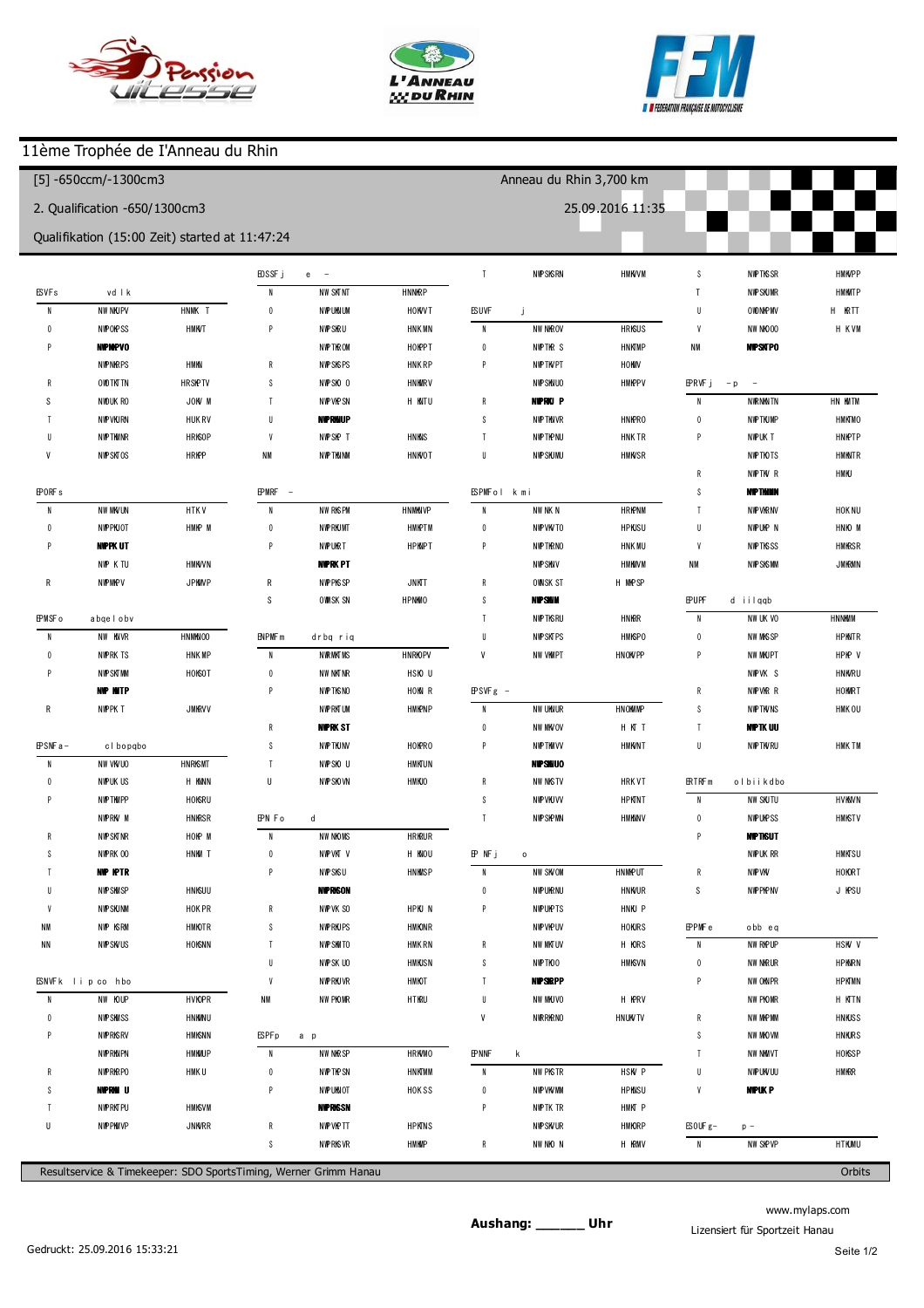





I

## 11ème Trophée de I'Anneau du Rhin

| $[5] - 650$ ccm/-1300cm3    |                                                |                  |                        |                                                                  |                                    |                       | Anneau du Rhin 3,700 km |                       |                          |                          |                       |  |
|-----------------------------|------------------------------------------------|------------------|------------------------|------------------------------------------------------------------|------------------------------------|-----------------------|-------------------------|-----------------------|--------------------------|--------------------------|-----------------------|--|
|                             | 2. Qualification -650/1300cm3                  |                  |                        |                                                                  |                                    |                       |                         | 25.09.2016 11:35      |                          |                          |                       |  |
|                             | Qualifikation (15:00 Zeit) started at 11:47:24 |                  |                        |                                                                  |                                    |                       |                         |                       |                          |                          |                       |  |
|                             |                                                |                  |                        | (266) M ichel Huszovits                                          |                                    | $\overline{1}$        | 136.651                 | $+0.990$              | $\boldsymbol{6}$         | 137.665                  | $+0.933$              |  |
| $(69)$ V ncent              | <b>BAYGDNI</b>                                 |                  | $\mathbf{1}$           | 1 46.717                                                         | $+11.534$                          |                       |                         |                       | p7                       | 136.805                  | $+0.073$              |  |
| $\overline{1}$              | 1 41.839                                       | $+10.447$        | $\overline{2}$         | 138.180                                                          | $+2.997$                           |                       | (689) Cedric Mascha     |                       | 8                        | 2 2 1.309                | $+44.577$             |  |
| $\overline{2}$              | 132.366                                        | $+0.974$         | $\sqrt{3}$             | 136.584                                                          | $+1.401$                           | $\overline{1}$        | 1 41.529                | $+5.686$              | 9                        | 1 41.222                 | $+4.490$              |  |
| 3                           | 131.392                                        |                  | $\overline{4}$         | 137.520                                                          | $+2.337$                           | $\overline{2}$        | 137.546                 | $+1.703$              | 10                       | 136.732                  |                       |  |
| p4                          | 131.536                                        | $+0.144$         | 5                      | 136.636                                                          | $+1.453$                           | $\sqrt{3}$            | 137.937                 | $+2.094$              |                          |                          |                       |  |
| 5                           | 2 2 7 . 7 7 1                                  | $+56.379$        | $\boldsymbol{6}$       | 136.242                                                          | $+1.059$                           | $\overline{4}$        | 1 36.182                | $+0.339$              | (359) M arco S c iuto    |                          |                       |  |
| p6                          | 1 28.452                                       | $-2.940$         | $\overline{1}$         | 139.361                                                          | $+4.178$                           | $\sqrt{5}$            | 135.843                 |                       | $\overline{1}$           | 151.171                  | $+14.070$             |  |
| $\overline{7}$              | 139.851                                        | $+8.459$         | $\,$ 8                 | 135.183                                                          |                                    | $\boldsymbol{6}$      | 137.195                 | $+1.352$              | $\overline{2}$           | 137.803                  | $+0.702$              |  |
| $\,$ 8                      | 137.015                                        | $+5.623$         | $\boldsymbol{9}$       | 136.347                                                          | $+1.164$                           | $\overline{1}$        | 137.318                 | $+1.475$              | 3                        | 138.474                  | $+1.373$              |  |
| p9                          | 136.726                                        | $+5.334$         | 10                     | 137.110                                                          | $+1.927$                           | $\, 8$                | 136.808                 | $+0.965$              | $\overline{4}$           | 137.276                  | $+0.175$              |  |
|                             |                                                |                  |                        |                                                                  |                                    |                       |                         |                       | 5                        | 137.945                  | $+0.844$              |  |
| (325) V incent C lauer      |                                                |                  |                        | (305) jerom e balandier                                          |                                    |                       | (630) ROB N PLAZA       |                       | $\boldsymbol{6}$         | 137.101                  |                       |  |
| $\overline{1}$              | 1 40.981                                       | $+7.494$         | $\overline{1}$         | 1 45.630                                                         | $+10.193$                          | $\overline{1}$        | 1 41.414                | $+5.310$              | $\overline{\phantom{a}}$ | 139.519                  | $+2.418$              |  |
| $\overline{2}$              | 133.827                                        | $+0.340$         | $\overline{2}$         | 135.807                                                          | $+0.370$                           | $\overline{2}$        | 139.972                 | $+3.868$              | $\,$ 8                   | 138.341                  | $+1.240$              |  |
| 3                           | 133.487                                        |                  | $\sqrt{3}$             | 138.574                                                          | $+3.137$                           | $\sqrt{3}$            | 137.512                 | $+1.408$              | $\boldsymbol{9}$         | 137.666                  | $+0.565$              |  |
| $\overline{4}$              | 1 34.478                                       | $+0.991$         | $\overline{4}$         | 135.437                                                          |                                    | p4                    | 1 3 6 1 9 4             | $+0.090$              | 510                      | 136.600                  | $-0.501$              |  |
| p <sub>5</sub>              | 1 30.394                                       | $-3.093$         | p <sub>5</sub>         | 133.663                                                          | $-1.774$                           | $\sqrt{5}$            | 2.16.467                | $+40.363$             |                          |                          |                       |  |
| (306) Raynald DETHOREY      |                                                | p6               | 206.461                | $+31.024$                                                        | $\boldsymbol{6}$<br>$\overline{1}$ | 136.104               |                         | $\overline{1}$        | (383) Brice GALLOTTE     |                          |                       |  |
| $\overline{1}$              | 1 44.195                                       | $+10.122$        |                        | (130) Philippe GUETAULT                                          |                                    | 8                     | 137.658                 | $+1.554$              |                          | 1 48.492                 | $+11.004$<br>$+3.175$ |  |
| $\overline{2}$              | 135.476                                        | $+1.403$         | $\overline{1}$         | 150.706                                                          | $+15.239$                          | p9                    | 1 36.736<br>1 49.037    | $+0.632$<br>$+12.933$ | $\overline{2}$<br>3      | 1 40.663<br>1 40.837     | $+3.349$              |  |
| 3                           | 136.700                                        | $+2.627$         | $\overline{2}$         | 1 41.715                                                         | $+6.248$                           |                       |                         |                       | $\overline{4}$           | 139.446                  | $+1.958$              |  |
| 4                           | 134,073                                        |                  | $\sqrt{3}$             | 137.612                                                          | $+2.145$                           |                       | (369) Jerom e brunner   |                       | 5                        | 139.545                  | $+2.057$              |  |
| p <sub>5</sub>              | 133.474                                        | $-0.599$         | $\overline{4}$         | 135.780                                                          | $+0.313$                           | $\overline{1}$        | 1 48.185                | $+12.003$             | $\boldsymbol{6}$         | 137.916                  | $+0.428$              |  |
|                             |                                                |                  | 5                      | 135.467                                                          |                                    | $\overline{2}$        | 1 40.929                | $+4.747$              | $\overline{7}$           | 137.488                  |                       |  |
| (361) Dom in ique FO ERSTER |                                                | $\boldsymbol{6}$ | 137.819                | $+2.352$                                                         | $\sqrt{3}$                         | 137.099               | $+0.917$                | $\,$ 8                | 137.958                  | $+0.470$                 |                       |  |
| $\overline{1}$              | 1 49.982                                       | $+15.607$        | $\overline{1}$         | 136.248                                                          | $+0.781$                           | $\overline{4}$        | 136.182                 |                       |                          |                          |                       |  |
| $\overline{2}$              | 138.486                                        | $+4.111$         | p8                     | 136.291                                                          | $+0.824$                           | $\sqrt{5}$            | 1 41.679                | $+5.497$              |                          | (575) Pascal RO ELL NGER |                       |  |
| 3                           | 137.033                                        | $+2.658$         |                        |                                                                  |                                    | $\boldsymbol{6}$      | 139.899                 | $+3.717$              | $\overline{1}$           | 1 46.878                 | $+9.191$              |  |
| 4                           | 1 35.940                                       | $+1.565$         |                        | (314) R ichard G re lier                                         |                                    | $\overline{1}$        | 136.301                 | $+0.119$              | $\overline{2}$           | 138.366                  | $+0.679$              |  |
| 5                           | 136.715                                        | $+2.340$         | $\overline{1}$         | 1 41.206                                                         | $+5.585$                           |                       |                         |                       | 3                        | 137.687                  |                       |  |
| $6\phantom{1}6$             | 135.422                                        | $+1.047$         | $\overline{2}$         | 139.749                                                          | $+4.128$                           | (341) M anue I Renard |                         | 4                     | 1 38.455                 | $+0.768$                 |                       |  |
| $\overline{7}$              | 134375                                         |                  | 3                      | 136.684                                                          | $+1.063$                           | $\mathbf{1}$          | 1 46.920                | $+10.387$             | 5                        | 139.944                  | $+2.257$              |  |
| 8                           | 136.063                                        | $+1.688$         | $\overline{4}$         | 135.621                                                          |                                    | $\overline{2}$        | 138.518                 | $+1.985$              | p6                       | 133.319                  | $-4.368$              |  |
| $\boldsymbol{9}$            | 136.810                                        | $+2.435$         | 5                      | 139.462                                                          | $+3.841$                           | $\sqrt{3}$            | 138.376                 | $+1.843$              |                          |                          |                       |  |
| 10                          | 1 34.650                                       | $+0.275$         | $\boldsymbol{6}$       | 135.836                                                          | $+0.215$                           | $\overline{4}$        | 139.389                 | $+2.856$              | (330) Hubert             | REECHT                   |                       |  |
| 11                          | 136.986                                        | $+2.611$         | $7\phantom{.0}$        | 136.072                                                          | $+0.451$                           | 5                     | 1 40.789                | $+4.256$              | $\overline{1}$           | 1 45.383                 | $+6.949$              |  |
|                             |                                                |                  | $\,$ 8                 | 136.482                                                          | $+0.861$                           | $\boldsymbol{6}$      | 137.224                 | $+0.691$              | $\overline{2}$           | 1 41.585                 | $+3.151$              |  |
|                             | (619) N CO LAS FR CKER                         |                  | $\boldsymbol{9}$       | 135.895                                                          | $+0.274$                           | $\overline{1}$        | 136.533                 |                       | 3                        | 1 42.135                 | $+3.701$              |  |
| $\overline{1}$              | 1 44.283                                       | $+9.235$         | 010                    | 1 43.205                                                         | $+7.584$                           | 8                     | 1 40.892                | $+4.359$              | 4                        | 1 43.205                 | $+4.771$              |  |
| $\overline{2}$              | 136.066                                        | $+1.018$         |                        |                                                                  |                                    | $\mathsf{p}\,9$       | 155.512                 | $+18.979$             | 5                        | 1 40.300                 | $+1.866$              |  |
| 3                           | 135.659                                        | $+0.611$         | (63) S teve D a S ilva |                                                                  |                                    |                       |                         |                       | $\boldsymbol{6}$         | 1 40.290                 | $+1.856$              |  |
| 4                           | 135.131                                        | $+0.083$         | $\overline{1}$         | 1 41.563                                                         | $+5.902$                           | (311) Brian Ndiaye    |                         |                       | $\overline{\phantom{a}}$ | 1 41.097                 | $+2.663$              |  |
| 5                           | 135.532                                        | $+0.484$         | $\overline{2}$         | 137.361                                                          | $+1.700$                           | $\overline{1}$        | 1 43.675                | $+6.943$              | 8                        | 138.988                  | $+0.554$              |  |
| $\boldsymbol{6}$            | 135.048                                        |                  | $\sqrt{3}$             | 138.127                                                          | $+2.466$                           | $\overline{2}$        | 139.900                 | $+3.168$              | $\boldsymbol{9}$         | 138.434                  |                       |  |
| $\overline{1}$              | 135.738                                        | $+0.690$         | $\overline{4}$         | 135.661                                                          |                                    | $\sqrt{3}$            | 137.475                 | $+0.743$              |                          |                          |                       |  |
| p8                          | 133.093                                        | $-1.955$         | 5                      | 139.377                                                          | $+3.716$                           | $\overline{4}$        | 136.985                 | $+0.253$              |                          | (628) Jordan Stoller     |                       |  |
|                             |                                                |                  | $\boldsymbol{6}$       | 135.695                                                          | $+0.034$                           | 5                     | 1 41.241                | $+4.509$              | $\overline{1}$           | 1 46.393                 | $+7.808$              |  |
|                             |                                                |                  |                        | Resultservice & Timekeeper: SDO SportsTiming, Werner Grimm Hanau |                                    |                       |                         |                       |                          |                          | Orbits                |  |

www.mylaps.com Lizensiert für Sportzeit Hanau